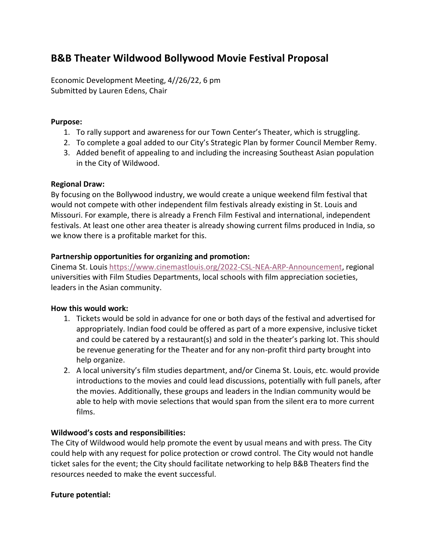# **B&B Theater Wildwood Bollywood Movie Festival Proposal**

Economic Development Meeting, 4//26/22, 6 pm Submitted by Lauren Edens, Chair

### **Purpose:**

- 1. To rally support and awareness for our Town Center's Theater, which is struggling.
- 2. To complete a goal added to our City's Strategic Plan by former Council Member Remy.
- 3. Added benefit of appealing to and including the increasing Southeast Asian population in the City of Wildwood.

#### **Regional Draw:**

By focusing on the Bollywood industry, we would create a unique weekend film festival that would not compete with other independent film festivals already existing in St. Louis and Missouri. For example, there is already a French Film Festival and international, independent festivals. At least one other area theater is already showing current films produced in India, so we know there is a profitable market for this.

#### **Partnership opportunities for organizing and promotion:**

Cinema St. Louis [https://www.cinemastlouis.org/2022-CSL-NEA-ARP-Announcement,](https://www.cinemastlouis.org/2022-CSL-NEA-ARP-Announcement) regional universities with Film Studies Departments, local schools with film appreciation societies, leaders in the Asian community.

## **How this would work:**

- 1. Tickets would be sold in advance for one or both days of the festival and advertised for appropriately. Indian food could be offered as part of a more expensive, inclusive ticket and could be catered by a restaurant(s) and sold in the theater's parking lot. This should be revenue generating for the Theater and for any non-profit third party brought into help organize.
- 2. A local university's film studies department, and/or Cinema St. Louis, etc. would provide introductions to the movies and could lead discussions, potentially with full panels, after the movies. Additionally, these groups and leaders in the Indian community would be able to help with movie selections that would span from the silent era to more current films.

## **Wildwood's costs and responsibilities:**

The City of Wildwood would help promote the event by usual means and with press. The City could help with any request for police protection or crowd control. The City would not handle ticket sales for the event; the City should facilitate networking to help B&B Theaters find the resources needed to make the event successful.

#### **Future potential:**